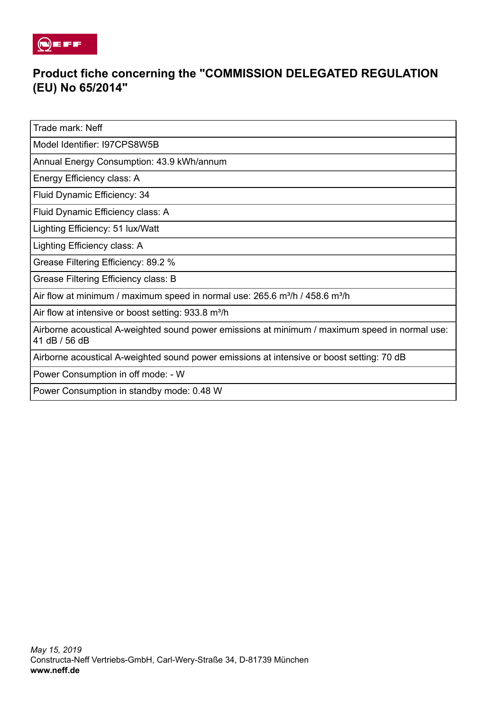

## **Product fiche concerning the "COMMISSION DELEGATED REGULATION (EU) No 65/2014"**

Trade mark: Neff

Model Identifier: I97CPS8W5B

Annual Energy Consumption: 43.9 kWh/annum

Energy Efficiency class: A

Fluid Dynamic Efficiency: 34

Fluid Dynamic Efficiency class: A

Lighting Efficiency: 51 lux/Watt

Lighting Efficiency class: A

Grease Filtering Efficiency: 89.2 %

Grease Filtering Efficiency class: B

Air flow at minimum / maximum speed in normal use:  $265.6$  m<sup>3</sup>/h / 458.6 m<sup>3</sup>/h

Air flow at intensive or boost setting: 933.8 m<sup>3</sup>/h

Airborne acoustical A-weighted sound power emissions at minimum / maximum speed in normal use: 41 dB / 56 dB

Airborne acoustical A-weighted sound power emissions at intensive or boost setting: 70 dB

Power Consumption in off mode: - W

Power Consumption in standby mode: 0.48 W